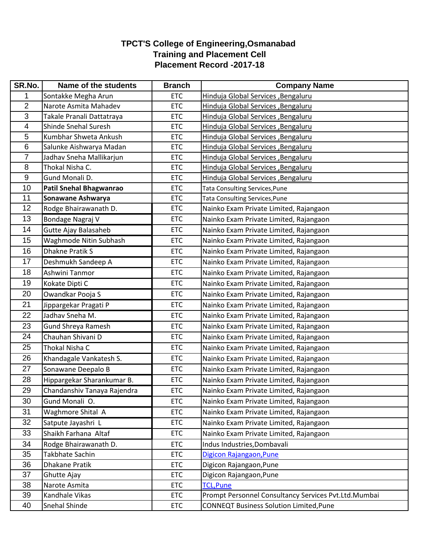## **TPCT'S College of Engineering,Osmanabad Training and Placement Cell Placement Record -2017-18**

| SR.No.         | Name of the students        | <b>Branch</b> | <b>Company Name</b>                                  |
|----------------|-----------------------------|---------------|------------------------------------------------------|
| 1              | Sontakke Megha Arun         | <b>ETC</b>    | Hinduja Global Services , Bengaluru                  |
| $\overline{2}$ | Narote Asmita Mahadev       | <b>ETC</b>    | Hinduja Global Services , Bengaluru                  |
| 3              | Takale Pranali Dattatraya   | <b>ETC</b>    | Hinduja Global Services , Bengaluru                  |
| 4              | Shinde Snehal Suresh        | <b>ETC</b>    | Hinduja Global Services, Bengaluru                   |
| 5              | Kumbhar Shweta Ankush       | <b>ETC</b>    | Hinduja Global Services , Bengaluru                  |
| $6\phantom{1}$ | Salunke Aishwarya Madan     | <b>ETC</b>    | Hinduja Global Services , Bengaluru                  |
| $\overline{7}$ | Jadhav Sneha Mallikarjun    | <b>ETC</b>    | Hinduja Global Services, Bengaluru                   |
| 8              | Thokal Nisha C.             | <b>ETC</b>    | Hinduja Global Services , Bengaluru                  |
| $9\,$          | Gund Monali D.              | <b>ETC</b>    | Hinduja Global Services, Bengaluru                   |
| 10             | Patil Snehal Bhagwanrao     | <b>ETC</b>    | Tata Consulting Services, Pune                       |
| 11             | Sonawane Ashwarya           | <b>ETC</b>    | <b>Tata Consulting Services, Pune</b>                |
| 12             | Rodge Bhairawanath D.       | <b>ETC</b>    | Nainko Exam Private Limited, Rajangaon               |
| 13             | Bondage Nagraj V            | <b>ETC</b>    | Nainko Exam Private Limited, Rajangaon               |
| 14             | <b>Gutte Ajay Balasaheb</b> | <b>ETC</b>    | Nainko Exam Private Limited, Rajangaon               |
| 15             | Waghmode Nitin Subhash      | <b>ETC</b>    | Nainko Exam Private Limited, Rajangaon               |
| 16             | <b>Dhakne Pratik S</b>      | <b>ETC</b>    | Nainko Exam Private Limited, Rajangaon               |
| 17             | Deshmukh Sandeep A          | <b>ETC</b>    | Nainko Exam Private Limited, Rajangaon               |
| 18             | Ashwini Tanmor              | <b>ETC</b>    | Nainko Exam Private Limited, Rajangaon               |
| 19             | Kokate Dipti C              | <b>ETC</b>    | Nainko Exam Private Limited, Rajangaon               |
| 20             | Owandkar Pooja S            | <b>ETC</b>    | Nainko Exam Private Limited, Rajangaon               |
| 21             | Jippargekar Pragati P       | <b>ETC</b>    | Nainko Exam Private Limited, Rajangaon               |
| 22             | Jadhav Sneha M.             | <b>ETC</b>    | Nainko Exam Private Limited, Rajangaon               |
| 23             | <b>Gund Shreya Ramesh</b>   | <b>ETC</b>    | Nainko Exam Private Limited, Rajangaon               |
| 24             | Chauhan Shivani D           | <b>ETC</b>    | Nainko Exam Private Limited, Rajangaon               |
| 25             | Thokal Nisha C              | <b>ETC</b>    | Nainko Exam Private Limited, Rajangaon               |
| 26             | Khandagale Vankatesh S.     | <b>ETC</b>    | Nainko Exam Private Limited, Rajangaon               |
| 27             | Sonawane Deepalo B          | <b>ETC</b>    | Nainko Exam Private Limited, Rajangaon               |
| 28             | Hippargekar Sharankumar B.  | <b>ETC</b>    | Nainko Exam Private Limited, Rajangaon               |
| 29             | Chandanshiv Tanaya Rajendra | <b>ETC</b>    | Nainko Exam Private Limited, Rajangaon               |
| 30             | Gund Monali O.              | <b>ETC</b>    | Nainko Exam Private Limited, Rajangaon               |
| 31             | Waghmore Shital A           | <b>ETC</b>    | Nainko Exam Private Limited, Rajangaon               |
| 32             | Satpute Jayashri L          | <b>ETC</b>    | Nainko Exam Private Limited, Rajangaon               |
| 33             | Shaikh Farhana Altaf        | <b>ETC</b>    | Nainko Exam Private Limited, Rajangaon               |
| 34             | Rodge Bhairawanath D.       | <b>ETC</b>    | Indus Industries, Dombavali                          |
| 35             | Takbhate Sachin             | <b>ETC</b>    | Digicon Rajangaon, Pune                              |
| 36             | <b>Dhakane Pratik</b>       | ETC           | Digicon Rajangaon, Pune                              |
| 37             | Ghutte Ajay                 | <b>ETC</b>    | Digicon Rajangaon, Pune                              |
| 38             | Narote Asmita               | <b>ETC</b>    | <b>TCL, Pune</b>                                     |
| 39             | Kandhale Vikas              | <b>ETC</b>    | Prompt Personnel Consultancy Services Pvt.Ltd.Mumbai |
| 40             | Snehal Shinde               | <b>ETC</b>    | <b>CONNEQT Business Solution Limited, Pune</b>       |